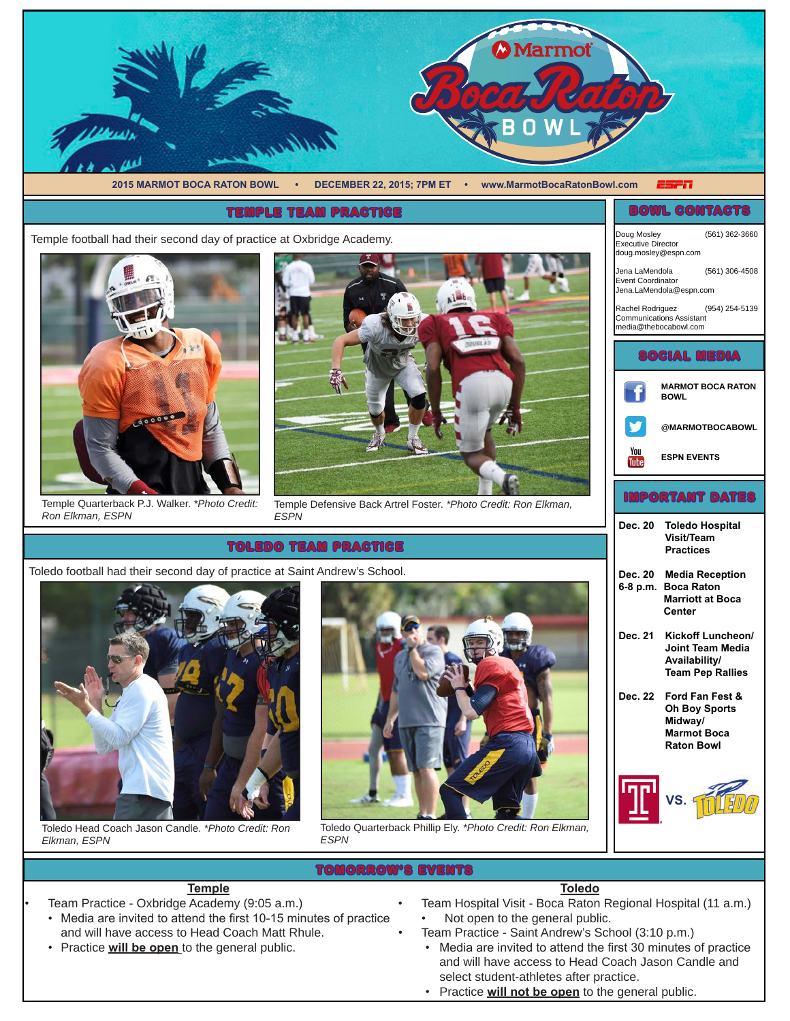

# **TOMORROW'S EVENTS**

- **Toledo**
- Team Hospital Visit Boca Raton Regional Hospital (11 a.m.) • Not open to the general public.
	- Team Practice Saint Andrew's School (3:10 p.m.)
	- • Media are invited to attend the first 30 minutes of practice and will have access to Head Coach Jason Candle and select student-athletes after practice.
	- • Practice **will not be open** to the general public.

Toledo football had their second day of practice at Saint Andrew's School.



*Elkman, ESPN*

- **Temple** Team Practice - Oxbridge Academy (9:05 a.m.)
- Media are invited to attend the first 10-15 minutes of practice and will have access to Head Coach Matt Rhule.
- Practice **will be open** to the general public.